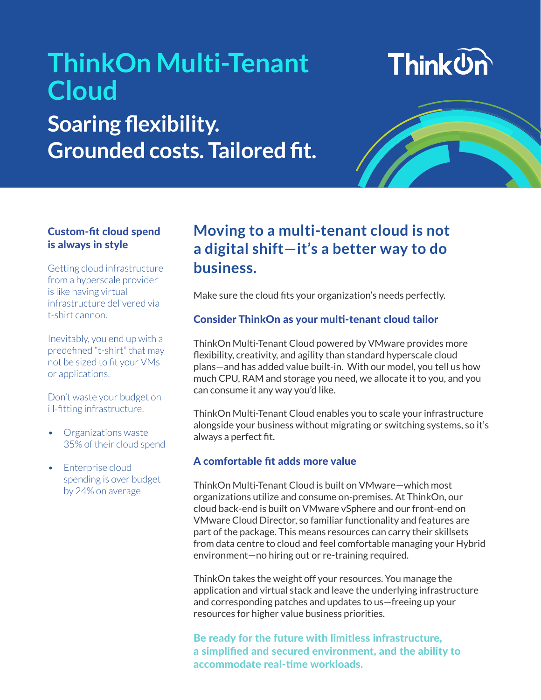## **ThinkOn Multi-Tenant Cloud Soaring flexibility. Grounded costs. Tailored fit.**





#### Custom-fit cloud spend is always in style

Getting cloud infrastructure from a hyperscale provider is like having virtual infrastructure delivered via t-shirt cannon.

Inevitably, you end up with a predefined "t-shirt" that may not be sized to fit your VMs or applications.

Don't waste your budget on ill-fitting infrastructure.

- Organizations waste 35% of their cloud spend
- Enterprise cloud spending is over budget by 24% on average

### **Moving to a multi-tenant cloud is not a digital shift—it's a better way to do business.**

Make sure the cloud fits your organization's needs perfectly.

#### Consider ThinkOn as your multi-tenant cloud tailor

ThinkOn Multi-Tenant Cloud powered by VMware provides more flexibility, creativity, and agility than standard hyperscale cloud plans—and has added value built-in. With our model, you tell us how much CPU, RAM and storage you need, we allocate it to you, and you can consume it any way you'd like.

ThinkOn Multi-Tenant Cloud enables you to scale your infrastructure alongside your business without migrating or switching systems, so it's always a perfect fit.

#### A comfortable fit adds more value

ThinkOn Multi-Tenant Cloud is built on VMware—which most organizations utilize and consume on-premises. At ThinkOn, our cloud back-end is built on VMware vSphere and our front-end on VMware Cloud Director, so familiar functionality and features are part of the package. This means resources can carry their skillsets from data centre to cloud and feel comfortable managing your Hybrid environment—no hiring out or re-training required.

ThinkOn takes the weight off your resources. You manage the application and virtual stack and leave the underlying infrastructure and corresponding patches and updates to us—freeing up your resources for higher value business priorities.

Be ready for the future with limitless infrastructure, a simplified and secured environment, and the ability to accommodate real-time workloads.